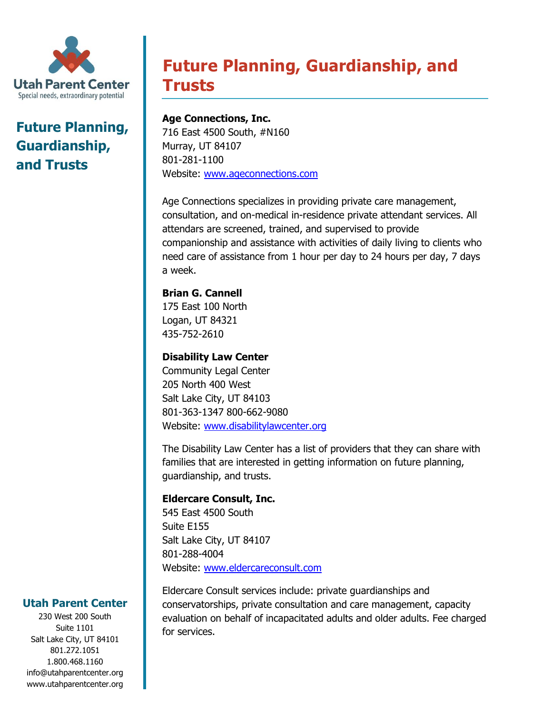

## **Future Planning, Guardianship, and Trusts**

# **Future Planning, Guardianship, and Trusts**

**Age Connections, Inc.** 716 East 4500 South, #N160 Murray, UT 84107 801-281-1100 Website: [www.ageconnections.com](http://www.ageconnections.com/)

Age Connections specializes in providing private care management, consultation, and on-medical in-residence private attendant services. All attendars are screened, trained, and supervised to provide companionship and assistance with activities of daily living to clients who need care of assistance from 1 hour per day to 24 hours per day, 7 days a week.

## **Brian G. Cannell**

175 East 100 North Logan, UT 84321 435-752-2610

## **Disability Law Center**

Community Legal Center 205 North 400 West Salt Lake City, UT 84103 801-363-1347 800-662-9080 Website: [www.disabilitylawcenter.org](http://www.disabilitylawcenter.org/)

The Disability Law Center has a list of providers that they can share with families that are interested in getting information on future planning, guardianship, and trusts.

## **Eldercare Consult, Inc.**

545 East 4500 South Suite E155 Salt Lake City, UT 84107 801-288-4004 Website: [www.eldercareconsult.com](http://www.eldercareconsult.com/)

Eldercare Consult services include: private guardianships and conservatorships, private consultation and care management, capacity evaluation on behalf of incapacitated adults and older adults. Fee charged for services.

## **Utah Parent Center**

230 West 200 South Suite 1101 Salt Lake City, UT 84101 801.272.1051 1.800.468.1160 info@utahparentcenter.org www.utahparentcenter.org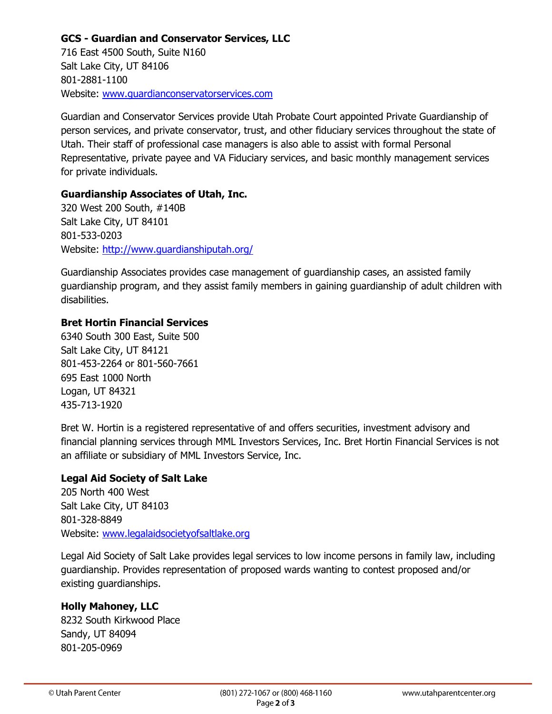## **GCS - Guardian and Conservator Services, LLC**

716 East 4500 South, Suite N160 Salt Lake City, UT 84106 801-2881-1100 Website: [www.guardianconservatorservices.com](http://www.guardianconservatorservices.com/)

Guardian and Conservator Services provide Utah Probate Court appointed Private Guardianship of person services, and private conservator, trust, and other fiduciary services throughout the state of Utah. Their staff of professional case managers is also able to assist with formal Personal Representative, private payee and VA Fiduciary services, and basic monthly management services for private individuals.

#### **Guardianship Associates of Utah, Inc.**

320 West 200 South, #140B Salt Lake City, UT 84101 801-533-0203 Website:<http://www.guardianshiputah.org/>

Guardianship Associates provides case management of guardianship cases, an assisted family guardianship program, and they assist family members in gaining guardianship of adult children with disabilities.

#### **Bret Hortin Financial Services**

6340 South 300 East, Suite 500 Salt Lake City, UT 84121 801-453-2264 or 801-560-7661 695 East 1000 North Logan, UT 84321 435-713-1920

Bret W. Hortin is a registered representative of and offers securities, investment advisory and financial planning services through MML Investors Services, Inc. Bret Hortin Financial Services is not an affiliate or subsidiary of MML Investors Service, Inc.

#### **Legal Aid Society of Salt Lake**

205 North 400 West Salt Lake City, UT 84103 801-328-8849 Website: [www.legalaidsocietyofsaltlake.org](http://www.legalaidsocietyofsaltlake.org/)

Legal Aid Society of Salt Lake provides legal services to low income persons in family law, including guardianship. Provides representation of proposed wards wanting to contest proposed and/or existing guardianships.

## **Holly Mahoney, LLC**

8232 South Kirkwood Place Sandy, UT 84094 801-205-0969